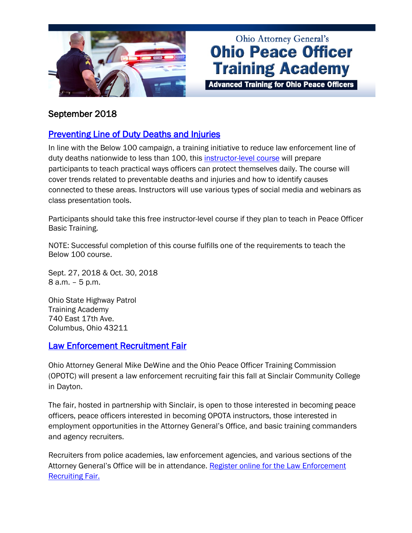

# **Ohio Attorney General's Ohio Peace Officer Training Academy**

**Advanced Training for Ohio Peace Officers** 

# September 2018

# [Preventing Line of Duty Deaths and Injuries](https://www.ohioattorneygeneral.gov/Law-Enforcement/Ohio-Peace-Officer-Training-Academy/Course-Catalog/Course-Categories/Instructor-Training-Courses#OPOTA1083)

In line with the Below 100 campaign, a training initiative to reduce law enforcement line of duty deaths nationwide to less than 100, this **instructor-level course** will prepare participants to teach practical ways officers can protect themselves daily. The course will cover trends related to preventable deaths and injuries and how to identify causes connected to these areas. Instructors will use various types of social media and webinars as class presentation tools.

Participants should take this free instructor-level course if they plan to teach in Peace Officer Basic Training.

NOTE: Successful completion of this course fulfills one of the requirements to teach the Below 100 course.

Sept. 27, 2018 & Oct. 30, 2018 8 a.m. – 5 p.m.

Ohio State Highway Patrol Training Academy 740 East 17th Ave. Columbus, Ohio 43211

#### [Law Enforcement Recruitment Fair](https://www.ohioattorneygeneral.gov/Law-Enforcement/Law-Enforcement-Recruiting-Fair)

Ohio Attorney General Mike DeWine and the Ohio Peace Officer Training Commission (OPOTC) will present a law enforcement recruiting fair this fall at Sinclair Community College in Dayton.

The fair, hosted in partnership with Sinclair, is open to those interested in becoming peace officers, peace officers interested in becoming OPOTA instructors, those interested in employment opportunities in the Attorney General's Office, and basic training commanders and agency recruiters.

Recruiters from police academies, law enforcement agencies, and various sections of the Attorney General's Office will be in attendance. Register online for the Law Enforcement [Recruiting Fair.](https://www.ohioattorneygeneral.gov/Law-Enforcement/Law-Enforcement-Recruiting-Fair)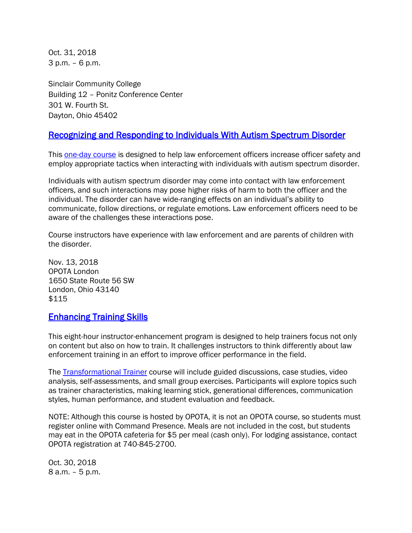Oct. 31, 2018 3 p.m. – 6 p.m.

Sinclair Community College Building 12 – Ponitz Conference Center 301 W. Fourth St. Dayton, Ohio 45402

## [Recognizing and Responding to Individuals With Autism Spectrum Disorder](https://www.ohioattorneygeneral.gov/Law-Enforcement/Ohio-Peace-Officer-Training-Academy/Course-Catalog/Course-Categories/Human-Relations-Courses#OPOTA1082)

This **one-day course** is designed to help law enforcement officers increase officer safety and employ appropriate tactics when interacting with individuals with autism spectrum disorder.

Individuals with autism spectrum disorder may come into contact with law enforcement officers, and such interactions may pose higher risks of harm to both the officer and the individual. The disorder can have wide-ranging effects on an individual's ability to communicate, follow directions, or regulate emotions. Law enforcement officers need to be aware of the challenges these interactions pose.

Course instructors have experience with law enforcement and are parents of children with the disorder.

Nov. 13, 2018 OPOTA London 1650 State Route 56 SW London, Ohio 43140 \$115

## [Enhancing Training Skills](https://www.ohioattorneygeneral.gov/Law-Enforcement/Ohio-Peace-Officer-Training-Academy/Course-Catalog/Course-Categories/Skills-Development-Courses#OPOTA1078)

This eight-hour instructor-enhancement program is designed to help trainers focus not only on content but also on how to train. It challenges instructors to think differently about law enforcement training in an effort to improve officer performance in the field.

The [Transformational Trainer](https://www.ohioattorneygeneral.gov/Law-Enforcement/Ohio-Peace-Officer-Training-Academy/Course-Catalog/Course-Categories/Skills-Development-Courses#OPOTA1078) course will include guided discussions, case studies, video analysis, self-assessments, and small group exercises. Participants will explore topics such as trainer characteristics, making learning stick, generational differences, communication styles, human performance, and student evaluation and feedback.

NOTE: Although this course is hosted by OPOTA, it is not an OPOTA course, so students must register online with Command Presence. Meals are not included in the cost, but students may eat in the OPOTA cafeteria for \$5 per meal (cash only). For lodging assistance, contact OPOTA registration at 740-845-2700.

Oct. 30, 2018 8 a.m. – 5 p.m.